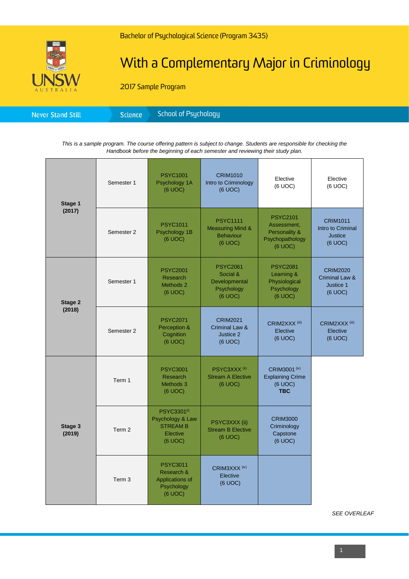

# With a Complementary Major in Criminology

2017 Sample Program

| <b>Science</b><br><b>Never Stand Still</b> |
|--------------------------------------------|
|--------------------------------------------|

*This is a sample program. The course offering pattern is subject to change. Students are responsible for checking the Handbook before the beginning of each semester and reviewing their study plan.*

| Stage 1<br>(2017) | Semester 1        | <b>PSYC1001</b><br>Psychology 1A<br>(6 UOC)                                           | <b>CRIM1010</b><br>Intro to Criminology<br>(6 UOC)                            | Elective<br>(6 UOC)                                                           | Elective<br>(6 UOC)                                               |
|-------------------|-------------------|---------------------------------------------------------------------------------------|-------------------------------------------------------------------------------|-------------------------------------------------------------------------------|-------------------------------------------------------------------|
|                   | Semester 2        | <b>PSYC1011</b><br>Psychology 1B<br>(6 UOC)                                           | <b>PSYC1111</b><br><b>Measuring Mind &amp;</b><br><b>Behaviour</b><br>(6 UOC) | <b>PSYC2101</b><br>Assessment,<br>Personality &<br>Psychopathology<br>(6 UOC) | <b>CRIM1011</b><br>Intro to Criminal<br><b>Justice</b><br>(6 UOC) |
| Stage 2<br>(2018) | Semester 1        | <b>PSYC2001</b><br>Research<br>Methods 2<br>(6 UOC)                                   | <b>PSYC2061</b><br>Social &<br>Developmental<br>Psychology<br>(6 UOC)         | <b>PSYC2081</b><br>Learning &<br>Physiological<br>Psychology<br>(6 UOC)       | <b>CRIM2020</b><br>Criminal Law &<br>Justice 1<br>(6 UOC)         |
|                   | Semester 2        | <b>PSYC2071</b><br>Perception &<br>Cognition<br>(6 UOC)                               | <b>CRIM2021</b><br>Criminal Law &<br>Justice 2<br>(6 UOC)                     | CRIM2XXX <sup>(iii)</sup><br>Elective<br>(6 UOC)                              | CRIM2XXX <sup>(iii)</sup><br>Elective<br>(6 UOC)                  |
| Stage 3<br>(2019) | Term 1            | <b>PSYC3001</b><br>Research<br>Methods 3<br>(6 UOC)                                   | PSYC3XXX <sup>(ii)</sup><br><b>Stream A Elective</b><br>(6 UOC)               | CRIM3001 (iv)<br><b>Explaining Crime</b><br>(6 UOC)<br><b>TBC</b>             |                                                                   |
|                   | Term 2            | PSYC3301 <sup>(i)</sup><br>Psychology & Law<br><b>STREAM B</b><br>Elective<br>(6 UOC) | PSYC3XXX (ii)<br><b>Stream B Elective</b><br>(6 UOC)                          | <b>CRIM3000</b><br>Criminology<br>Capstone<br>(6 UOC)                         |                                                                   |
|                   | Term <sub>3</sub> | <b>PSYC3011</b><br>Research &<br>Applications of<br>Psychology<br>(6 UOC)             | CRIM3XXX <sup>(iv)</sup><br>Elective<br>(6 UOC)                               |                                                                               |                                                                   |

*SEE OVERLEAF*